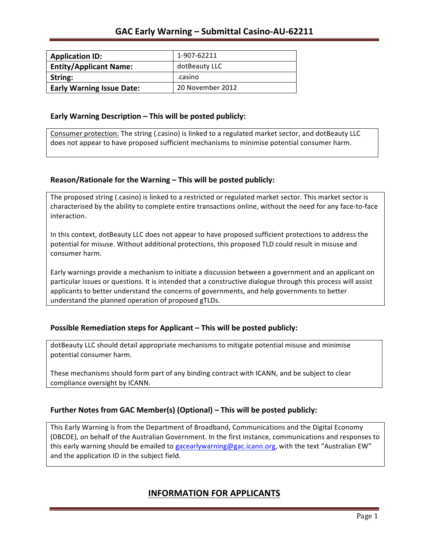| <b>Application ID:</b>           | 1-907-62211      |
|----------------------------------|------------------|
| <b>Entity/Applicant Name:</b>    | dotBeauty LLC    |
| String:                          | .casino          |
| <b>Early Warning Issue Date:</b> | 20 November 2012 |

### **Early Warning Description – This will be posted publicly:**

Consumer protection: The string (.casino) is linked to a regulated market sector, and dotBeauty LLC does not appear to have proposed sufficient mechanisms to minimise potential consumer harm.

### **Reason/Rationale for the Warning – This will be posted publicly:**

The proposed string (.casino) is linked to a restricted or regulated market sector. This market sector is characterised by the ability to complete entire transactions online, without the need for any face-to-face interaction.

In this context, dotBeauty LLC does not appear to have proposed sufficient protections to address the potential for misuse. Without additional protections, this proposed TLD could result in misuse and consumer harm.

Early warnings provide a mechanism to initiate a discussion between a government and an applicant on particular issues or questions. It is intended that a constructive dialogue through this process will assist applicants to better understand the concerns of governments, and help governments to better understand the planned operation of proposed gTLDs.

### **Possible Remediation steps for Applicant – This will be posted publicly:**

dotBeauty LLC should detail appropriate mechanisms to mitigate potential misuse and minimise potential consumer harm.

These mechanisms should form part of any binding contract with ICANN, and be subject to clear compliance oversight by ICANN.

### **Further Notes from GAC Member(s) (Optional)** – This will be posted publicly:

This Early Warning is from the Department of Broadband, Communications and the Digital Economy (DBCDE), on behalf of the Australian Government. In the first instance, communications and responses to this early warning should be emailed to gacearlywarning@gac.icann.org, with the text "Australian EW" and the application ID in the subject field.

## **INFORMATION FOR APPLICANTS**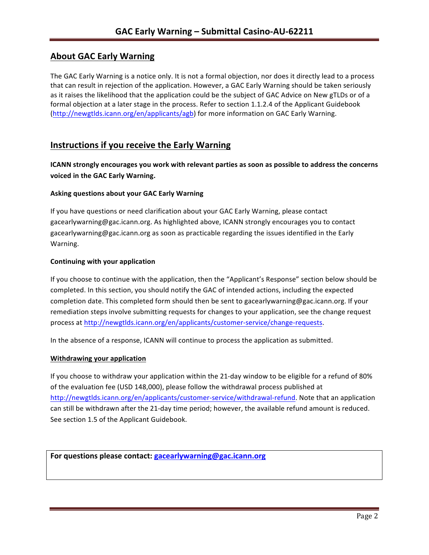# **About GAC Early Warning**

The GAC Early Warning is a notice only. It is not a formal objection, nor does it directly lead to a process that can result in rejection of the application. However, a GAC Early Warning should be taken seriously as it raises the likelihood that the application could be the subject of GAC Advice on New gTLDs or of a formal objection at a later stage in the process. Refer to section 1.1.2.4 of the Applicant Guidebook (http://newgtlds.icann.org/en/applicants/agb) for more information on GAC Early Warning.

## **Instructions if you receive the Early Warning**

**ICANN** strongly encourages you work with relevant parties as soon as possible to address the concerns **voiced in the GAC Early Warning.** 

### **Asking questions about your GAC Early Warning**

If you have questions or need clarification about your GAC Early Warning, please contact gacearlywarning@gac.icann.org. As highlighted above, ICANN strongly encourages you to contact gacearlywarning@gac.icann.org as soon as practicable regarding the issues identified in the Early Warning. 

#### **Continuing with your application**

If you choose to continue with the application, then the "Applicant's Response" section below should be completed. In this section, you should notify the GAC of intended actions, including the expected completion date. This completed form should then be sent to gacearlywarning@gac.icann.org. If your remediation steps involve submitting requests for changes to your application, see the change request process at http://newgtlds.icann.org/en/applicants/customer-service/change-requests.

In the absence of a response, ICANN will continue to process the application as submitted.

#### **Withdrawing your application**

If you choose to withdraw your application within the 21-day window to be eligible for a refund of 80% of the evaluation fee (USD 148,000), please follow the withdrawal process published at http://newgtlds.icann.org/en/applicants/customer-service/withdrawal-refund. Note that an application can still be withdrawn after the 21-day time period; however, the available refund amount is reduced. See section 1.5 of the Applicant Guidebook.

For questions please contact: gacearlywarning@gac.icann.org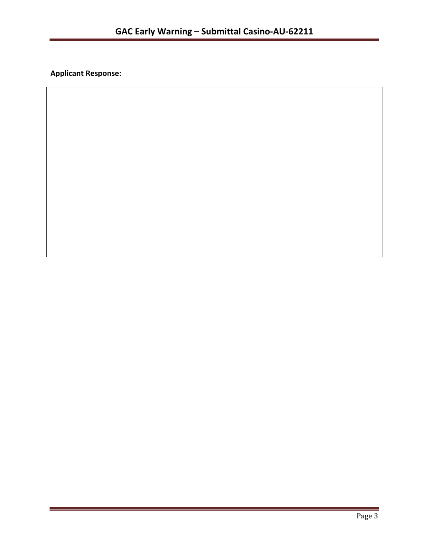**Applicant Response:**